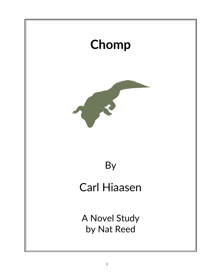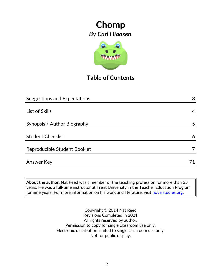

## **Table of Contents**

| <b>Suggestions and Expectations</b> | 3  |
|-------------------------------------|----|
|                                     |    |
| List of Skills                      | 4  |
|                                     |    |
| Synopsis / Author Biography         | 5  |
|                                     |    |
| <b>Student Checklist</b>            | 6  |
| Reproducible Student Booklet        |    |
| <b>Answer Key</b>                   | 71 |
|                                     |    |

**About the author:** Nat Reed was a member of the teaching profession for more than 35 years. He was a full-time instructor at Trent University in the Teacher Education Program for nine years. For more information on his work and literature, visit [novelstudies.org.](http://www.novelstudies.org/)

> Copyright © 2014 Nat Reed Revisions Completed in 2021 All rights reserved by author. Permission to copy for single classroom use only. Electronic distribution limited to single classroom use only. Not for public display.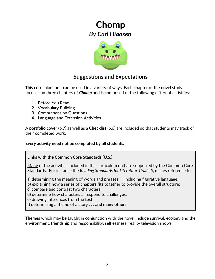

## **Suggestions and Expectations**

This curriculum unit can be used in a variety of ways. Each chapter of the novel study focuses on three chapters of *Chomp* and is comprised of the following different activities:

- 1. Before You Read
- 2. Vocabulary Building
- 3. Comprehension Questions
- 4. Language and Extension Activities

A **portfolio cover** (p.7) as well as a **Checklist** (p.6) are included so that students may track of their completed work.

**Every activity need not be completed by all students.** 

### **Links with the Common Core Standards (U.S.)**

Many of the activities included in this curriculum unit are supported by the Common Core Standards. For instance the *Reading Standards for Literature, Grade 5*, makes reference to

a) determining the meaning of words and phrases. . . including figurative language;

b) explaining how a series of chapters fits together to provide the overall structure;

c) compare and contrast two characters;

d) determine how characters … respond to challenges;

e) drawing inferences from the text;

f) determining a theme of a story . . . **and many others.**

**Themes** which may be taught in conjunction with the novel include survival, ecology and the environment, friendship and responsibility, selflessness, reality television shows.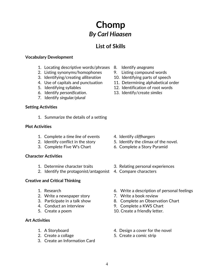## **List of Skills**

### **Vocabulary Development**

- 1. Locating descriptive words/phrases 8. Identify *anagrams*
- 2. Listing synonyms/homophones 9. Listing compound words
- 3. Identifying/creating *alliteration* 10. Identifying parts of speech
- 
- 
- 6. Identify *personification*. 13. Identify/create *similes*
- 7. Identify *singular/plural*

### **Setting Activities**

1. Summarize the details of a setting

### **Plot Activities**

- 1. Complete a *time line* of events 4. Identify *cliffhangers*
- 
- 

### **Character Activities**

- 
- 2. Identify the protagonist/antagonist 4. Compare characters

### **Creative and Critical Thinking**

- 
- 2. Write a newspaper story **7. Write a book review**
- 
- 
- 

### **Art Activities**

- 
- 
- 3. Create an Information Card
- 
- 
- 
- 4. Use of capitals and punctuation 11. Determining alphabetical order
- 5. Identifying syllables 12. Identification of root words
	-

- 
- 2. Identify conflict in the story 5. Identify the climax of the novel.
- 3. Complete Five W's Chart 6. Complete a Story Pyramid
- 1. Determine character traits 3. Relating personal experiences
	-
- 1. Research 6. Write a description of personal feelings
	-
- 3. Participate in a talk show 8. Complete an Observation Chart
- 4. Conduct an interview 9. Complete a KWS Chart
- 5. Create a poem 10. Create a friendly letter.
- 1. A Storyboard **1.** A Storyboard **1.** A Storyboard
- 2. Create a collage 5. Create a comic strip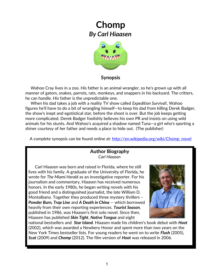

### **Synopsis**

 Wahoo Cray lives in a zoo. His father is an animal wrangler, so he's grown up with all manner of gators, snakes, parrots, rats, monkeys, and snappers in his backyard. The critters, he can handle. His father is the unpredictable one.

 When his dad takes a job with a reality TV show called *Expedition Survival*!, Wahoo figures he'll have to do a bit of wrangling himself—to keep his dad from killing Derek Badger, the show's inept and egotistical star, before the shoot is over. But the job keeps getting more complicated. Derek Badger foolishly believes his own PR and insists on using wild animals for his stunts. And Wahoo's acquired a shadow named Tuna—a girl who's sporting a shiner courtesy of *her* father and needs a place to hide out. (The publisher)

A complete synopsis can be found online at: [http://en.wikipedia.org/wiki/Chomp\\_novel](http://en.wikipedia.org/wiki/Chomp_novel)

### **Author Biography** *Carl Hiaasen*

 Carl Hiaasen was born and raised in Florida, where he still lives with his family. A graduate of the University of Florida, he wrote for *The Miami Herald* as an investigative reporter. For his journalism and commentary, Hiaasen has received numerous honors. In the early 1980s, he began writing novels with his good friend and a distinguished journalist, the late William D. Montalbano. Together they produced three mystery thrillers – *Powder Burn, Trap Line* and *[A Death in China](http://www.carlhiaasen.com/books/books-death.html)* -- which borrowed heavily from their own reporting experiences. *[Tourist Season](http://www.carlhiaasen.com/books/books-tourist.html)*, published in 1986, was Hiaasen's first solo novel. Since then, Hiaasen has published *[Skin Tight](http://www.carlhiaasen.com/books/books-skin.html)*, *[Native Tongue](http://www.carlhiaasen.com/books/books-native.html)* and eight



national bestsellers and *[Star Island](http://www.carlhiaasen.com/faq/faq-starIsland.shtml)*. Hiaasen made his children's book debut with *[Hoot](http://www.carlhiaasen.com/books/books-hoot.html)* (2002), which was awarded a Newbery Honor and spent more than two years on the New York Times bestseller lists. For young readers he went on to write *[Flush](http://www.carlhiaasen.com/books/flush.html)* (2005), *[Scat](http://www.carlhiaasen.com/books/books-scat.html)* (2009) and *Chomp* (2012). The film version of *[Hoot](http://www.carlhiaasen.com/books/books-hoot.html)* was released in 2006.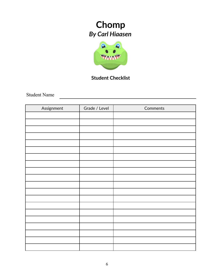

## **Student Checklist**

Student Name

| Assignment | Grade / Level | Comments |
|------------|---------------|----------|
|            |               |          |
|            |               |          |
|            |               |          |
|            |               |          |
|            |               |          |
|            |               |          |
|            |               |          |
|            |               |          |
|            |               |          |
|            |               |          |
|            |               |          |
|            |               |          |
|            |               |          |
|            |               |          |
|            |               |          |
|            |               |          |
|            |               |          |
|            |               |          |
|            |               |          |
|            |               |          |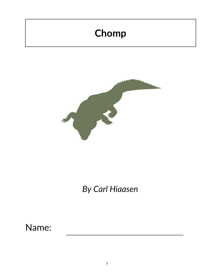# **Chomp**



# *By Carl Hiaasen*

# Name: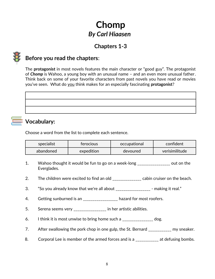## **Chapters 1-3**



## **Before you read the chapters**:

The **protagonist** in most novels features the main character or "good guy". The protagonist of *Chomp* is Wahoo, a young boy with an unusual name – and an even more unusual father. Think back on some of your favorite characters from past novels you have read or movies you've seen. What do you think makes for an especially fascinating **protagonist**?

## **Vocabulary:**

Choose a word from the list to complete each sentence.

| specialist         | <b>terocious</b> | <b>ccupational</b> | confident      |
|--------------------|------------------|--------------------|----------------|
| abandoned <b>a</b> | expedition       | devoured           | verisimilitude |

- 1. Wahoo thought it would be fun to go on a week-long \_\_\_\_\_\_\_\_\_\_\_\_\_\_\_\_\_ out on the Everglades.
- 2. The children were excited to find an old \_\_\_\_\_\_\_\_\_\_\_\_\_\_ cabin cruiser on the beach.
- 3. "So you already know that we're all about \_\_\_\_\_\_\_\_\_\_\_\_\_\_\_\_\_\_ making it real."
- 4. Getting sunburned is an \_\_\_\_\_\_\_\_\_\_\_\_\_\_\_\_\_\_ hazard for most roofers.
- 5. Serena seems very \_\_\_\_\_\_\_\_\_\_\_\_\_\_\_\_ in her artistic abilities.
- 6. I think it is most unwise to bring home such a  $\frac{1}{2}$  =  $\frac{1}{2}$  =  $\frac{1}{2}$  dog.
- 7. After swallowing the pork chop in one gulp, the St. Bernard \_\_\_\_\_\_\_\_\_\_\_ my sneaker.
- 8. Corporal Lee is member of the armed forces and is a \_\_\_\_\_\_\_\_\_\_\_\_ at defusing bombs.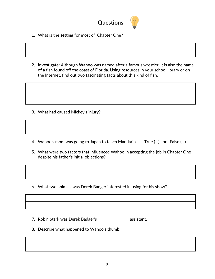

- 1. What is the **setting** for most of Chapter One?
- 2. **Investigate**: Although **Wahoo** was named after a famous wrestler, it is also the name of a fish found off the coast of Florida. Using resources in your school library or on the Internet, find out two fascinating facts about this kind of fish.

- 3. What had caused Mickey's injury?
- 4. Wahoo's mom was going to Japan to teach Mandarin. True ( ) or False ( )
- 5. What were two factors that influenced Wahoo in accepting the job in Chapter One despite his father's initial objections?
- 6. What two animals was Derek Badger interested in using for his show?

7. Robin Stark was Derek Badger's \_\_\_\_\_\_\_\_\_\_\_\_\_\_\_\_ assistant.

8. Describe what happened to Wahoo's thumb.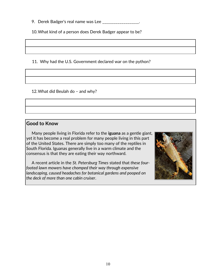9. Derek Badger's real name was Lee \_\_\_\_\_\_\_\_\_\_\_\_\_\_\_\_\_\_.

10.What kind of a person does Derek Badger appear to be?

11. Why had the U.S. Government declared war on the python?

12.What did Beulah do – and why?

### **Good to Know**

 Many people living in Florida refer to the **iguana** as a gentle giant, yet it has become a real problem for many people living in this part of the United States. There are simply too many of the reptiles in South Florida. Iguanas generally live in a warm climate and the consensus is that they are eating their way northward.

 A recent article in the *St. Petersburg Times* stated that *these fourfooted lawn mowers have chomped their way through expensive landscaping, caused headaches for botanical gardens and pooped on the deck of more than one cabin cruiser*.

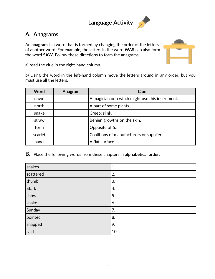## **Language Activity**



## **A. Anagrams**

An **anagram** is a word that is formed by changing the order of the letters of another word. For example, the letters in the word **WAS** can also form the word **SAW**. Follow these directions to form the anagrams:



a) read the clue in the right-hand column.

b) Using the word in the left-hand column move the letters around in any order, but you must use all the letters.

| <b>Word</b> | Anagram | Clue                                             |
|-------------|---------|--------------------------------------------------|
| dawn        |         | A magician or a witch might use this instrument. |
| north       |         | A part of some plants.                           |
| snake       |         | Creep; slink.                                    |
| straw       |         | Benign growths on the skin.                      |
| form        |         | Opposite of to.                                  |
| scarlet     |         | Coalitions of manufacturers or suppliers.        |
| panel       |         | A flat surface.                                  |

**B**. Place the following words from these chapters in **alphabetical order**.

| snakes       | 1.  |
|--------------|-----|
| scattered    | 2.  |
| thumb        | 3.  |
| <b>Stark</b> | 4.  |
| show         | 5.  |
| snake        | 6.  |
| Sunday       | 7.  |
| pointed      | 8.  |
| snapped      | 9.  |
| said         | 10. |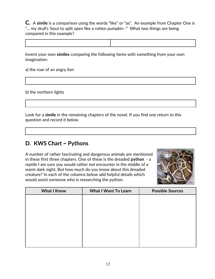**C.** A **simile** is a comparison using the words "like" or "as". An example from Chapter One is "... my skull's 'bout to split open like a rotten pumpkin -" What two things are being compared in this example?



Invent your own **similes** comparing the following items with something from your own imagination:

a) the roar of an angry lion

b) the northern lights

Look for a **simile** in the remaining chapters of the novel. If you find one return to this question and record it below.

## **D. KWS Chart ~ Pythons**

A number of rather fascinating and dangerous animals are mentioned in these first three chapters. One of these is the dreaded **python** - a reptile I am sure you would rather not encounter in the middle of a warm dark night. But how much do you know about this dreaded creature? In each of the columns below add helpful details which would assist someone who is researching the python.

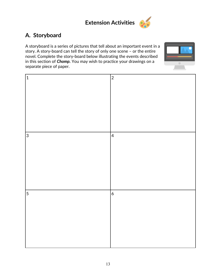

## **A. Storyboard**

A storyboard is a series of pictures that tell about an important event in a story. A story-board can tell the story of only one scene – or the entire novel. Complete the story-board below illustrating the events described in this section of *Chomp.* You may wish to practice your drawings on a separate piece of paper.



| $\mathbf 1$    | $\overline{c}$ |
|----------------|----------------|
|                |                |
|                |                |
|                |                |
|                |                |
|                |                |
|                |                |
|                |                |
|                |                |
| $\overline{3}$ | $\overline{4}$ |
|                |                |
|                |                |
|                |                |
|                |                |
|                |                |
|                |                |
|                |                |
|                |                |
|                |                |
| 5              | $\overline{6}$ |
|                |                |
|                |                |
|                |                |
|                |                |
|                |                |
|                |                |
|                |                |
|                |                |